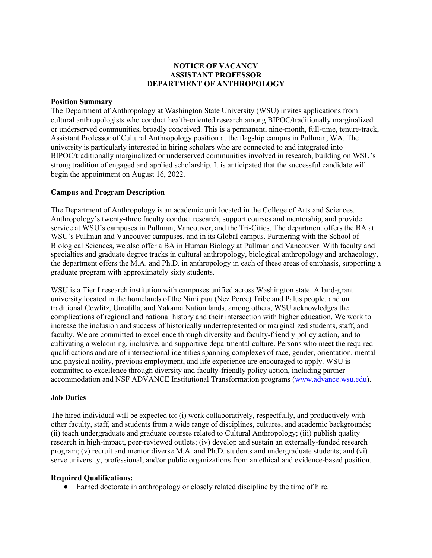## **NOTICE OF VACANCY ASSISTANT PROFESSOR DEPARTMENT OF ANTHROPOLOGY**

#### **Position Summary**

The Department of Anthropology at Washington State University (WSU) invites applications from cultural anthropologists who conduct health-oriented research among BIPOC/traditionally marginalized or underserved communities, broadly conceived. This is a permanent, nine-month, full-time, tenure-track, Assistant Professor of Cultural Anthropology position at the flagship campus in Pullman, WA. The university is particularly interested in hiring scholars who are connected to and integrated into BIPOC/traditionally marginalized or underserved communities involved in research, building on WSU's strong tradition of engaged and applied scholarship. It is anticipated that the successful candidate will begin the appointment on August 16, 2022.

### **Campus and Program Description**

The Department of Anthropology is an academic unit located in the College of Arts and Sciences. Anthropology's twenty-three faculty conduct research, support courses and mentorship, and provide service at WSU's campuses in Pullman, Vancouver, and the Tri-Cities. The department offers the BA at WSU's Pullman and Vancouver campuses, and in its Global campus. Partnering with the School of Biological Sciences, we also offer a BA in Human Biology at Pullman and Vancouver. With faculty and specialties and graduate degree tracks in cultural anthropology, biological anthropology and archaeology, the department offers the M.A. and Ph.D. in anthropology in each of these areas of emphasis, supporting a graduate program with approximately sixty students.

WSU is a Tier I research institution with campuses unified across Washington state. A land-grant university located in the homelands of the Nimiipuu (Nez Perce) Tribe and Palus people, and on traditional Cowlitz, Umatilla, and Yakama Nation lands, among others, WSU acknowledges the complications of regional and national history and their intersection with higher education. We work to increase the inclusion and success of historically underrepresented or marginalized students, staff, and faculty. We are committed to excellence through diversity and faculty-friendly policy action, and to cultivating a welcoming, inclusive, and supportive departmental culture. Persons who meet the required qualifications and are of intersectional identities spanning complexes of race, gender, orientation, mental and physical ability, previous employment, and life experience are encouraged to apply. WSU is committed to excellence through diversity and faculty-friendly policy action, including partner accommodation and NSF ADVANCE Institutional Transformation programs [\(www.advance.wsu.edu\)](http://www.advance.wsu.edu/).

### **Job Duties**

The hired individual will be expected to: (i) work collaboratively, respectfully, and productively with other faculty, staff, and students from a wide range of disciplines, cultures, and academic backgrounds; (ii) teach undergraduate and graduate courses related to Cultural Anthropology; (iii) publish quality research in high-impact, peer-reviewed outlets; (iv) develop and sustain an externally-funded research program; (v) recruit and mentor diverse M.A. and Ph.D. students and undergraduate students; and (vi) serve university, professional, and/or public organizations from an ethical and evidence-based position.

### **Required Qualifications:**

● Earned doctorate in anthropology or closely related discipline by the time of hire.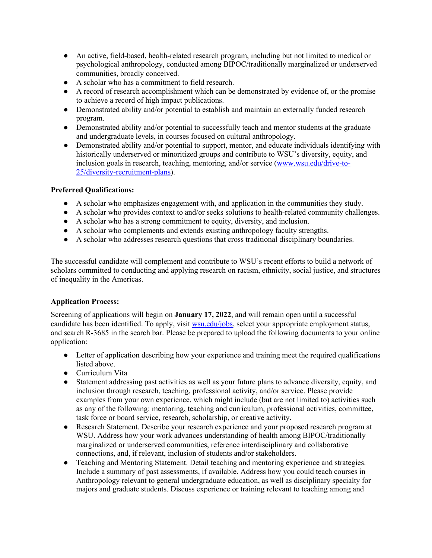- An active, field-based, health-related research program, including but not limited to medical or psychological anthropology, conducted among BIPOC/traditionally marginalized or underserved communities, broadly conceived.
- A scholar who has a commitment to field research.
- A record of research accomplishment which can be demonstrated by evidence of, or the promise to achieve a record of high impact publications.
- Demonstrated ability and/or potential to establish and maintain an externally funded research program.
- Demonstrated ability and/or potential to successfully teach and mentor students at the graduate and undergraduate levels, in courses focused on cultural anthropology.
- Demonstrated ability and/or potential to support, mentor, and educate individuals identifying with historically underserved or minoritized groups and contribute to WSU's diversity, equity, and inclusion goals in research, teaching, mentoring, and/or service [\(www.wsu.edu/drive-to-](http://www.wsu.edu/drive-to-25/diversity-recruitment-plans)[25/diversity-recruitment-plans\)](http://www.wsu.edu/drive-to-25/diversity-recruitment-plans).

# **Preferred Qualifications:**

- A scholar who emphasizes engagement with, and application in the communities they study.
- A scholar who provides context to and/or seeks solutions to health-related community challenges.
- A scholar who has a strong commitment to equity, diversity, and inclusion.
- A scholar who complements and extends existing anthropology faculty strengths.
- A scholar who addresses research questions that cross traditional disciplinary boundaries.

The successful candidate will complement and contribute to WSU's recent efforts to build a network of scholars committed to conducting and applying research on racism, ethnicity, social justice, and structures of inequality in the Americas.

### **Application Process:**

Screening of applications will begin on **January 17, 2022**, and will remain open until a successful candidate has been identified. To apply, visit [wsu.edu/jobs,](https://hrs.wsu.edu/jobs/) select your appropriate employment status, and search R-3685 in the search bar. Please be prepared to upload the following documents to your online application:

- Letter of application describing how your experience and training meet the required qualifications listed above.
- Curriculum Vita
- Statement addressing past activities as well as your future plans to advance diversity, equity, and inclusion through research, teaching, professional activity, and/or service. Please provide examples from your own experience, which might include (but are not limited to) activities such as any of the following: mentoring, teaching and curriculum, professional activities, committee, task force or board service, research, scholarship, or creative activity.
- Research Statement. Describe your research experience and your proposed research program at WSU. Address how your work advances understanding of health among BIPOC/traditionally marginalized or underserved communities, reference interdisciplinary and collaborative connections, and, if relevant, inclusion of students and/or stakeholders.
- Teaching and Mentoring Statement. Detail teaching and mentoring experience and strategies. Include a summary of past assessments, if available. Address how you could teach courses in Anthropology relevant to general undergraduate education, as well as disciplinary specialty for majors and graduate students. Discuss experience or training relevant to teaching among and